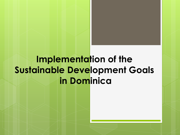## **Implementation of the Sustainable Development Goals in Dominica**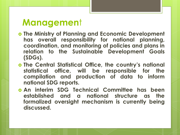#### **Managemen**t

- **The Ministry of Planning and Economic Development has overall responsibility for national planning, coordination, and monitoring of policies and plans in relation to the Sustainable Development Goals (SDGs).**
- **The Central Statistical Office, the country's national statistical office, will be responsible for the compilation and production of data to inform national SDG reports.**
- **An interim SDG Technical Committee has been established and a national structure as the formalized oversight mechanism is currently being discussed.**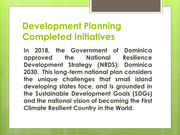**In 2018, the Government of Dominica approved the National Resilience Development Strategy (NRDS): Dominica 2030. This long-term national plan considers the unique challenges that small island developing states face, and is grounded in the Sustainable Development Goals (SDGs) and the national vision of becoming the First Climate Resilient Country in the World.**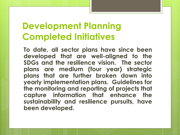**To date, all sector plans have since been developed that are well-aligned to the SDGs and the resilience vision. The sector plans are medium (four year) strategic plans that are further broken down into yearly implementation plans. Guidelines for the monitoring and reporting of projects that capture information that enhance the sustainability and resilience pursuits, have been developed.**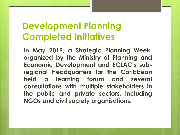**In May 2019, a Strategic Planning Week, organized by the Ministry of Planning and Economic Development and ECLAC's subregional Headquarters for the Caribbean held a learning forum and several consultations with multiple stakeholders in the public and private sectors, including NGOs and civil society organisations.**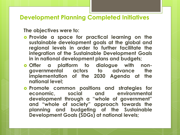**The objectives were to:** 

- **Provide a space for practical learning on the sustainable development goals at the global and regional levels in order to further facilitate the integration of the Sustainable Development Goals in in national development plans and budgets;**
- **Offer a platform to dialogue with nongovernmental actors to advance the implementation of the 2030 Agenda at the national level;**
- **Promote common positions and strategies for economic, social and environmental development through a "whole of government" and "whole of society" approach towards the planning and budgeting of the Sustainable Development Goals (SDGs) at national levels;**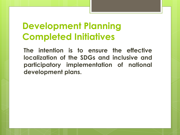**The intention is to ensure the effective localization of the SDGs and inclusive and participatory implementation of national development plans.**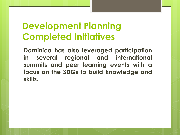**Dominica has also leveraged participation in several regional and international summits and peer learning events with a focus on the SDGs to build knowledge and skills.**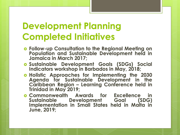- **Follow-up Consultation to the Regional Meeting on Population and Sustainable Development held in Jamaica in March 2017;**
- **Sustainable Development Goals (SDGs) Social Indicators workshop in Barbados in May, 2018;**
- **Holistic Approaches for Implementing the 2030 Agenda for Sustainable Development in the Caribbean Region – Learning Conference held in Trinidad in May 2019;**
- **Commonwealth Awards for Excellence in Sustainable Development Goal (SDG) Implementation in Small States held in Malta in June, 2019;**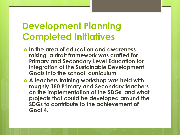- **In the area of education and awareness raising, a draft framework was crafted for Primary and Secondary Level Education for integration of the Sustainable Development Goals into the school curriculum**
- **A teachers training workshop was held with roughly 150 Primary and Secondary teachers on the implementation of the SDGs, and what projects that could be developed around the SDGs to contribute to the achievement of Goal 4.**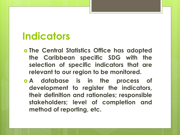## **Indicators**

- **The Central Statistics Office has adopted the Caribbean specific SDG with the selection of specific indicators that are relevant to our region to be monitored.**
- **A database is in the process of development to register the indicators, their definition and rationales; responsible stakeholders; level of completion and method of reporting, etc.**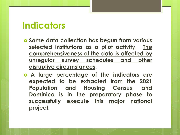#### **Indicators**

- **Some data collection has begun from various selected institutions as a pilot activity. The comprehensiveness of the data is affected by unregular survey schedules and other disruptive circumstances.**
- **A large percentage of the indicators are expected to be extracted from the 2021 Population and Housing Census, and Dominica is in the preparatory phase to successfully execute this major national project.**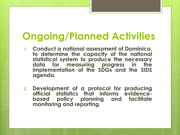# **Ongoing/Planned Activities**

- **1. Conduct a national assessment of Dominica, to determine the capacity of the national statistical system to produce the necessary data for measuring progress in the implementation of the SDGs and the SIDS agenda.**
- **2. Development of a protocol for producing official statistics that informs evidencebased policy planning and facilitate monitoring and reporting.**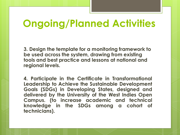## **Ongoing/Planned Activities**

**3. Design the template for a monitoring framework to be used across the system, drawing from existing tools and best practice and lessons at national and regional levels.** 

**4. Participate in the Certificate in Transformational Leadership to Achieve the Sustainable Development Goals (SDGs) in Developing States, designed and delivered by the University of the West Indies Open Campus. (to increase academic and technical knowledge in the SDGs among a cohort of technicians).**